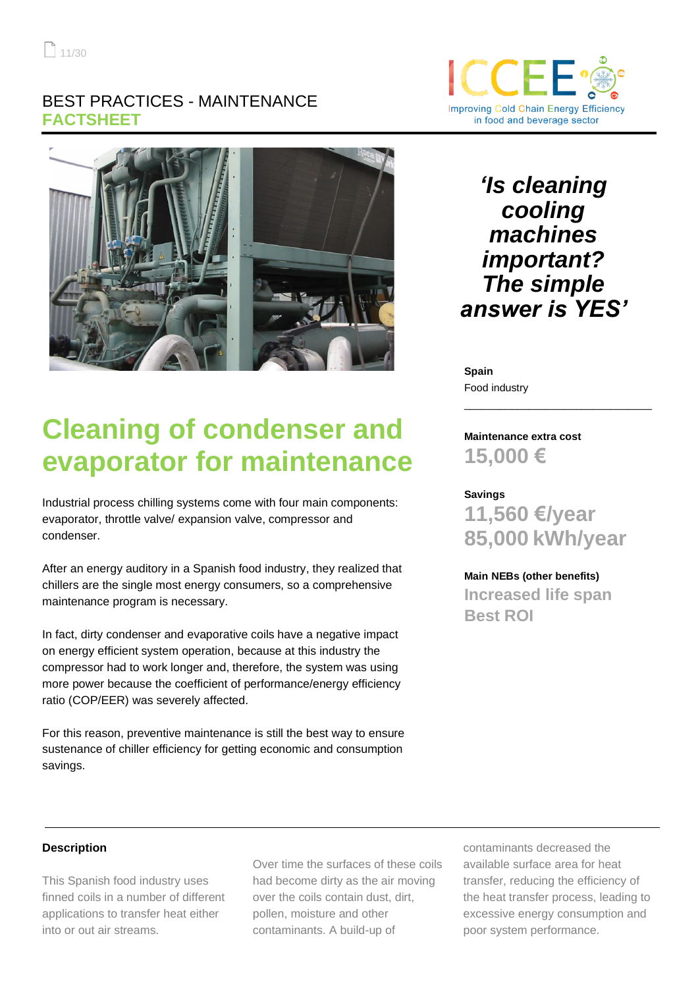## BEST PRACTICES - MAINTENANCE **FACTSHEET**





*'Is cleaning cooling machines important? The simple answer is YES'*

**Spain** Food industry

# **Cleaning of condenser and evaporator for maintenance**

Industrial process chilling systems come with four main components: evaporator, throttle valve/ expansion valve, compressor and condenser.

After an energy auditory in a Spanish food industry, they realized that chillers are the single most energy consumers, so a comprehensive maintenance program is necessary.

In fact, dirty condenser and evaporative coils have a negative impact on energy efficient system operation, because at this industry the compressor had to work longer and, therefore, the system was using more power because the coefficient of performance/energy efficiency ratio (COP/EER) was severely affected.

For this reason, preventive maintenance is still the best way to ensure sustenance of chiller efficiency for getting economic and consumption savings.

**Maintenance extra cost 15,000 €**

**Savings 11,560 €/year 85,000 kWh/year**

\_\_\_\_\_\_\_\_\_\_\_\_\_\_\_\_\_\_\_\_\_\_\_\_\_\_\_\_\_\_\_\_

**Main NEBs (other benefits) Increased life span Best ROI**

## **Description**

This Spanish food industry uses finned coils in a number of different applications to transfer heat either into or out air streams.

Over time the surfaces of these coils had become dirty as the air moving over the coils contain dust, dirt, pollen, moisture and other contaminants. A build-up of

contaminants decreased the available surface area for heat transfer, reducing the efficiency of the heat transfer process, leading to excessive energy consumption and poor system performance.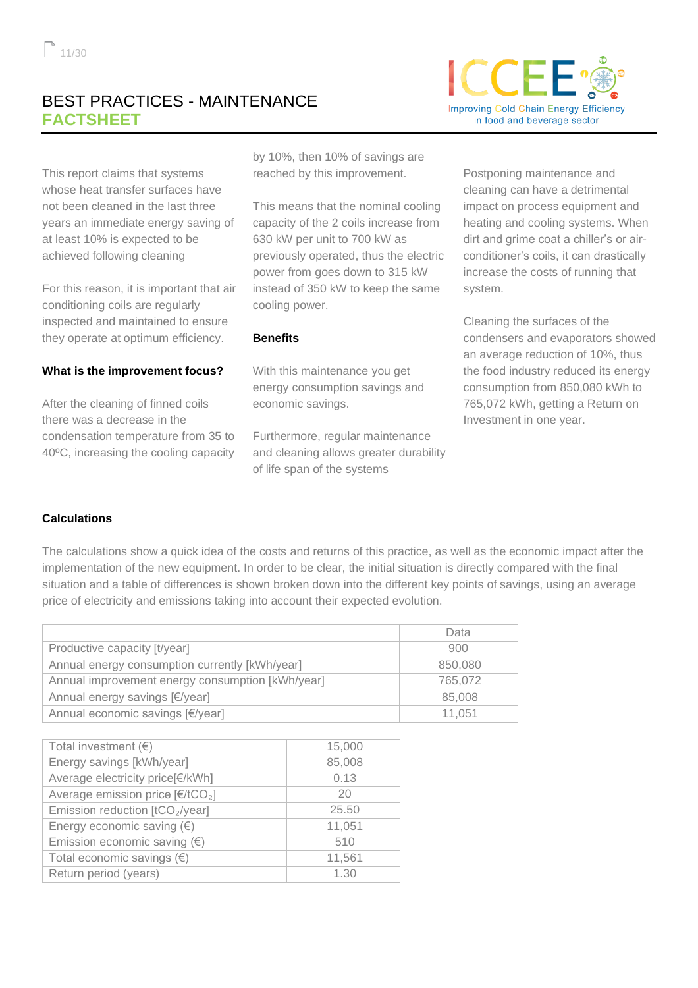# BEST PRACTICES - MAINTENANCE **FACTSHEET**

This report claims that systems whose heat transfer surfaces have not been cleaned in the last three years an immediate energy saving of at least 10% is expected to be achieved following cleaning

For this reason, it is important that air conditioning coils are regularly inspected and maintained to ensure they operate at optimum efficiency.

#### **What is the improvement focus?**

After the cleaning of finned coils there was a decrease in the condensation temperature from 35 to 40ºC, increasing the cooling capacity

by 10%, then 10% of savings are reached by this improvement.

This means that the nominal cooling capacity of the 2 coils increase from 630 kW per unit to 700 kW as previously operated, thus the electric power from goes down to 315 kW instead of 350 kW to keep the same cooling power.

#### **Benefits**

With this maintenance you get energy consumption savings and economic savings.

Furthermore, regular maintenance and cleaning allows greater durability of life span of the systems

Postponing maintenance and cleaning can have a detrimental impact on process equipment and heating and cooling systems. When dirt and grime coat a chiller's or airconditioner's coils, it can drastically increase the costs of running that system.

Cleaning the surfaces of the condensers and evaporators showed an average reduction of 10%, thus the food industry reduced its energy consumption from 850,080 kWh to 765,072 kWh, getting a Return on Investment in one year.

## **Calculations**

The calculations show a quick idea of the costs and returns of this practice, as well as the economic impact after the implementation of the new equipment. In order to be clear, the initial situation is directly compared with the final situation and a table of differences is shown broken down into the different key points of savings, using an average price of electricity and emissions taking into account their expected evolution.

|                                                  | Data    |
|--------------------------------------------------|---------|
| Productive capacity [t/year]                     | 900     |
| Annual energy consumption currently [kWh/year]   | 850,080 |
| Annual improvement energy consumption [kWh/year] | 765,072 |
| Annual energy savings [€/year]                   | 85,008  |
| Annual economic savings [€/year]                 | 11.051  |

| Total investment $(\epsilon)$                                | 15,000 |
|--------------------------------------------------------------|--------|
| Energy savings [kWh/year]                                    | 85,008 |
| Average electricity price[€/kWh]                             | 0.13   |
| Average emission price $\left[\frac{\epsilon}{tCO_2}\right]$ | 20     |
| Emission reduction [tCO <sub>2</sub> /year]                  | 25.50  |
| Energy economic saving $(\epsilon)$                          | 11,051 |
| Emission economic saving $(\epsilon)$                        | 510    |
| Total economic savings $(\epsilon)$                          | 11,561 |
| Return period (years)                                        | 1.30   |